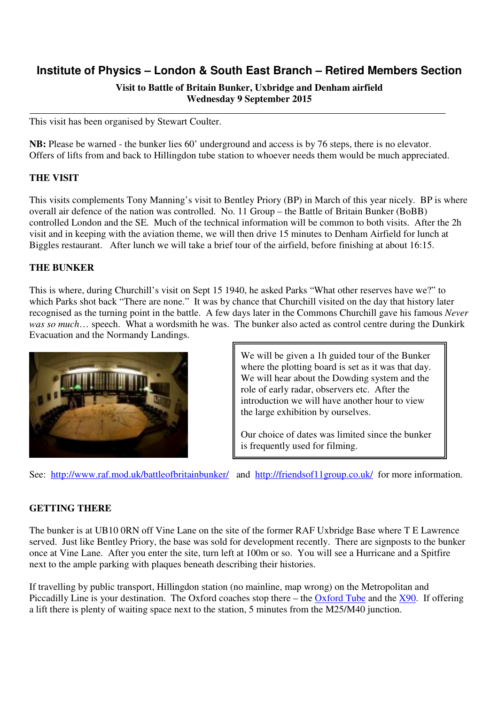# **Institute of Physics – London & South East Branch – Retired Members Section**

# **Visit to Battle of Britain Bunker, Uxbridge and Denham airfield Wednesday 9 September 2015**

This visit has been organised by Stewart Coulter.

**NB:** Please be warned - the bunker lies 60' underground and access is by 76 steps, there is no elevator. Offers of lifts from and back to Hillingdon tube station to whoever needs them would be much appreciated.

# **THE VISIT**

This visits complements Tony Manning's visit to Bentley Priory (BP) in March of this year nicely. BP is where overall air defence of the nation was controlled. No. 11 Group – the Battle of Britain Bunker (BoBB) controlled London and the SE. Much of the technical information will be common to both visits. After the 2h visit and in keeping with the aviation theme, we will then drive 15 minutes to Denham Airfield for lunch at Biggles restaurant. After lunch we will take a brief tour of the airfield, before finishing at about 16:15.

# **THE BUNKER**

This is where, during Churchill's visit on Sept 15 1940, he asked Parks "What other reserves have we?" to which Parks shot back "There are none." It was by chance that Churchill visited on the day that history later recognised as the turning point in the battle. A few days later in the Commons Churchill gave his famous *Never was so much*… speech. What a wordsmith he was. The bunker also acted as control centre during the Dunkirk Evacuation and the Normandy Landings.



We will be given a 1h guided tour of the Bunker where the plotting board is set as it was that day. We will hear about the Dowding system and the role of early radar, observers etc. After the introduction we will have another hour to view the large exhibition by ourselves.

Our choice of dates was limited since the bunker is frequently used for filming.

See: http://www.raf.mod.uk/battleofbritainbunker/ and http://friendsof11group.co.uk/ for more information.

#### **GETTING THERE**

The bunker is at UB10 0RN off Vine Lane on the site of the former RAF Uxbridge Base where T E Lawrence served. Just like Bentley Priory, the base was sold for development recently. There are signposts to the bunker once at Vine Lane. After you enter the site, turn left at 100m or so. You will see a Hurricane and a Spitfire next to the ample parking with plaques beneath describing their histories.

If travelling by public transport, Hillingdon station (no mainline, map wrong) on the Metropolitan and Piccadilly Line is your destination. The Oxford coaches stop there – the Oxford Tube and the X90. If offering a lift there is plenty of waiting space next to the station, 5 minutes from the M25/M40 junction.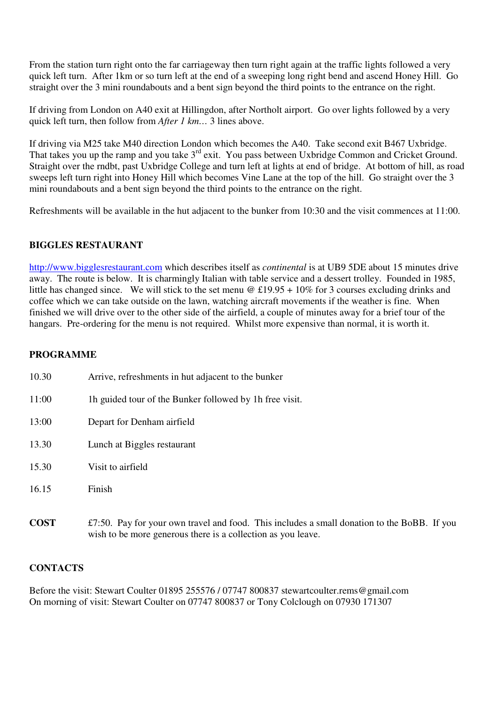From the station turn right onto the far carriageway then turn right again at the traffic lights followed a very quick left turn. After 1km or so turn left at the end of a sweeping long right bend and ascend Honey Hill. Go straight over the 3 mini roundabouts and a bent sign beyond the third points to the entrance on the right.

If driving from London on A40 exit at Hillingdon, after Northolt airport. Go over lights followed by a very quick left turn, then follow from *After 1 km…* 3 lines above.

If driving via M25 take M40 direction London which becomes the A40. Take second exit B467 Uxbridge. That takes you up the ramp and you take 3<sup>rd</sup> exit. You pass between Uxbridge Common and Cricket Ground. Straight over the rndbt, past Uxbridge College and turn left at lights at end of bridge. At bottom of hill, as road sweeps left turn right into Honey Hill which becomes Vine Lane at the top of the hill. Go straight over the 3 mini roundabouts and a bent sign beyond the third points to the entrance on the right.

Refreshments will be available in the hut adjacent to the bunker from 10:30 and the visit commences at 11:00.

# **BIGGLES RESTAURANT**

http://www.bigglesrestaurant.com which describes itself as *continental* is at UB9 5DE about 15 minutes drive away. The route is below. It is charmingly Italian with table service and a dessert trolley. Founded in 1985, little has changed since. We will stick to the set menu @ £19.95 + 10% for 3 courses excluding drinks and coffee which we can take outside on the lawn, watching aircraft movements if the weather is fine. When finished we will drive over to the other side of the airfield, a couple of minutes away for a brief tour of the hangars. Pre-ordering for the menu is not required. Whilst more expensive than normal, it is worth it.

# **PROGRAMME**

| 10.30       | Arrive, refreshments in hut adjacent to the bunker                                                                                                          |
|-------------|-------------------------------------------------------------------------------------------------------------------------------------------------------------|
| 11:00       | The guided tour of the Bunker followed by 1h free visit.                                                                                                    |
| 13:00       | Depart for Denham airfield                                                                                                                                  |
| 13.30       | Lunch at Biggles restaurant                                                                                                                                 |
| 15.30       | Visit to airfield                                                                                                                                           |
| 16.15       | Finish                                                                                                                                                      |
| <b>COST</b> | £7:50. Pay for your own travel and food. This includes a small donation to the BoBB. If you<br>wish to be more generous there is a collection as you leave. |

#### **CONTACTS**

Before the visit: Stewart Coulter 01895 255576 / 07747 800837 stewartcoulter.rems@gmail.com On morning of visit: Stewart Coulter on 07747 800837 or Tony Colclough on 07930 171307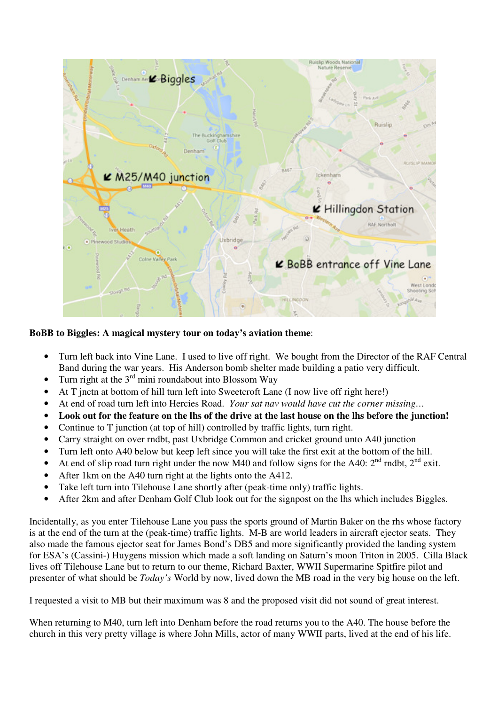

**BoBB to Biggles: A magical mystery tour on today's aviation theme**:

- Turn left back into Vine Lane. I used to live off right. We bought from the Director of the RAF Central Band during the war years. His Anderson bomb shelter made building a patio very difficult.
- Turn right at the  $3<sup>rd</sup>$  mini roundabout into Blossom Way
- At T jnctn at bottom of hill turn left into Sweetcroft Lane (I now live off right here!)
- At end of road turn left into Hercies Road. *Your sat nav would have cut the corner missing…*
- **Look out for the feature on the lhs of the drive at the last house on the lhs before the junction!**
- Continue to T junction (at top of hill) controlled by traffic lights, turn right.
- Carry straight on over rndbt, past Uxbridge Common and cricket ground unto A40 junction
- Turn left onto A40 below but keep left since you will take the first exit at the bottom of the hill.
- At end of slip road turn right under the now M40 and follow signs for the A40:  $2<sup>nd</sup>$  rndbt,  $2<sup>nd</sup>$  exit.
- After 1km on the A40 turn right at the lights onto the A412.
- Take left turn into Tilehouse Lane shortly after (peak-time only) traffic lights.
- After 2km and after Denham Golf Club look out for the signpost on the lhs which includes Biggles.

Incidentally, as you enter Tilehouse Lane you pass the sports ground of Martin Baker on the rhs whose factory is at the end of the turn at the (peak-time) traffic lights. M-B are world leaders in aircraft ejector seats. They also made the famous ejector seat for James Bond's DB5 and more significantly provided the landing system for ESA's (Cassini-) Huygens mission which made a soft landing on Saturn's moon Triton in 2005. Cilla Black lives off Tilehouse Lane but to return to our theme, Richard Baxter, WWII Supermarine Spitfire pilot and presenter of what should be *Today's* World by now, lived down the MB road in the very big house on the left.

I requested a visit to MB but their maximum was 8 and the proposed visit did not sound of great interest.

When returning to M40, turn left into Denham before the road returns you to the A40. The house before the church in this very pretty village is where John Mills, actor of many WWII parts, lived at the end of his life.